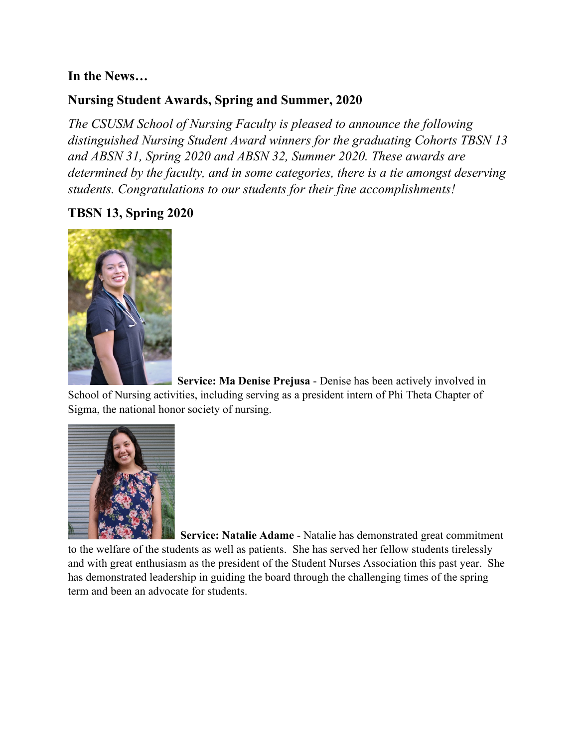### **In the News…**

# **Nursing Student Awards, Spring and Summer, 2020**

*The CSUSM School of Nursing Faculty is pleased to announce the following distinguished Nursing Student Award winners for the graduating Cohorts TBSN 13 and ABSN 31, Spring 2020 and ABSN 32, Summer 2020. These awards are determined by the faculty, and in some categories, there is a tie amongst deserving students. Congratulations to our students for their fine accomplishments!*

# **TBSN 13, Spring 2020**



 **Service: Ma Denise Prejusa** - Denise has been actively involved in School of Nursing activities, including serving as a president intern of Phi Theta Chapter of Sigma, the national honor society of nursing.



 **Service: Natalie Adame** - Natalie has demonstrated great commitment to the welfare of the students as well as patients. She has served her fellow students tirelessly and with great enthusiasm as the president of the Student Nurses Association this past year. She has demonstrated leadership in guiding the board through the challenging times of the spring term and been an advocate for students.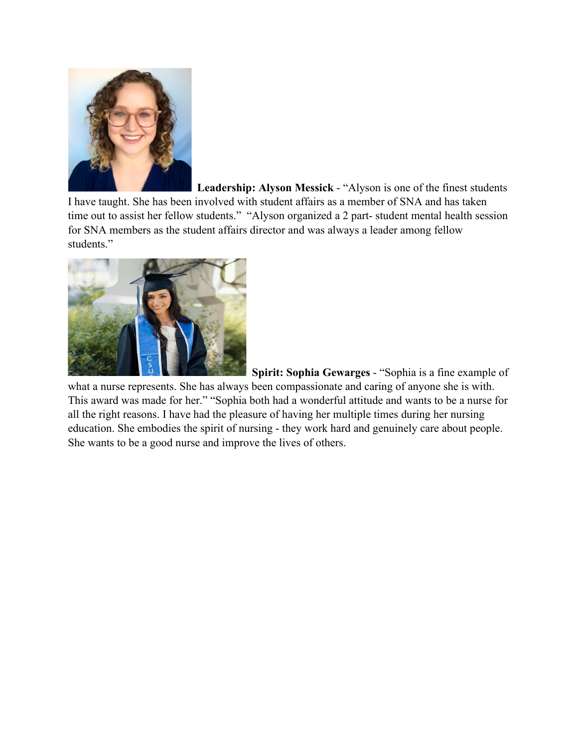

 **Leadership: Alyson Messick** - "Alyson is one of the finest students I have taught. She has been involved with student affairs as a member of SNA and has taken time out to assist her fellow students." "Alyson organized a 2 part- student mental health session for SNA members as the student affairs director and was always a leader among fellow students."



 **Spirit: Sophia Gewarges** - "Sophia is a fine example of

what a nurse represents. She has always been compassionate and caring of anyone she is with. This award was made for her." "Sophia both had a wonderful attitude and wants to be a nurse for all the right reasons. I have had the pleasure of having her multiple times during her nursing education. She embodies the spirit of nursing - they work hard and genuinely care about people. She wants to be a good nurse and improve the lives of others.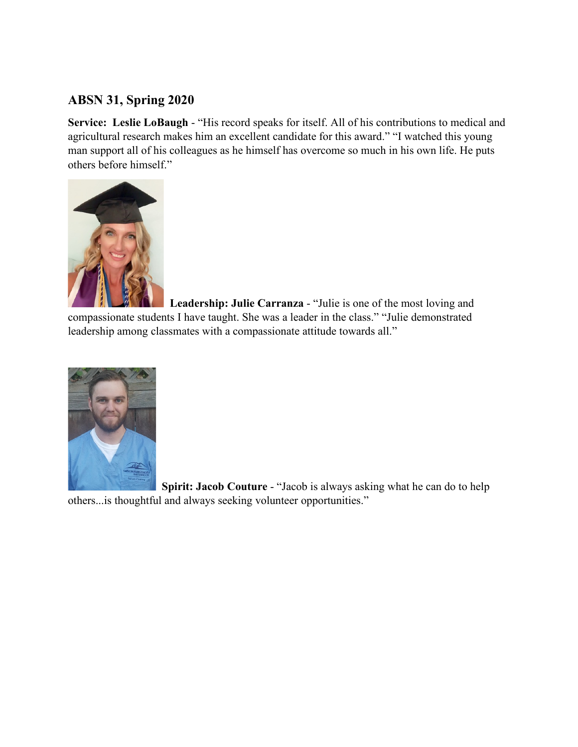# **ABSN 31, Spring 2020**

**Service: Leslie LoBaugh** - "His record speaks for itself. All of his contributions to medical and agricultural research makes him an excellent candidate for this award." "I watched this young man support all of his colleagues as he himself has overcome so much in his own life. He puts others before himself."



 **Leadership: Julie Carranza** - "Julie is one of the most loving and compassionate students I have taught. She was a leader in the class." "Julie demonstrated leadership among classmates with a compassionate attitude towards all."



 **Spirit: Jacob Couture** - "Jacob is always asking what he can do to help others...is thoughtful and always seeking volunteer opportunities."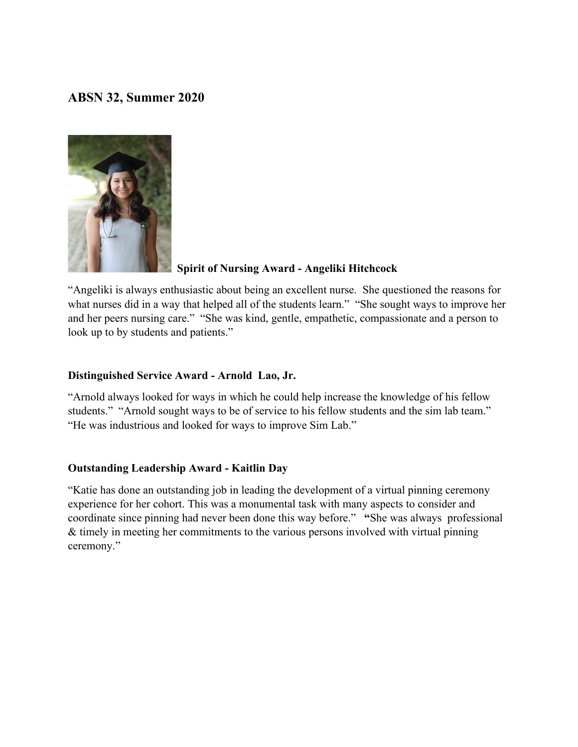### **ABSN 32, Summer 2020**



# **Spirit of Nursing Award - Angeliki Hitchcock**

"Angeliki is always enthusiastic about being an excellent nurse. She questioned the reasons for what nurses did in a way that helped all of the students learn." "She sought ways to improve her and her peers nursing care." "She was kind, gentle, empathetic, compassionate and a person to look up to by students and patients."

#### **Distinguished Service Award - Arnold Lao, Jr.**

"Arnold always looked for ways in which he could help increase the knowledge of his fellow students." "Arnold sought ways to be of service to his fellow students and the sim lab team." "He was industrious and looked for ways to improve Sim Lab."

#### **Outstanding Leadership Award - Kaitlin Day**

"Katie has done an outstanding job in leading the development of a virtual pinning ceremony experience for her cohort. This was a monumental task with many aspects to consider and coordinate since pinning had never been done this way before." **"**She was always professional & timely in meeting her commitments to the various persons involved with virtual pinning ceremony."